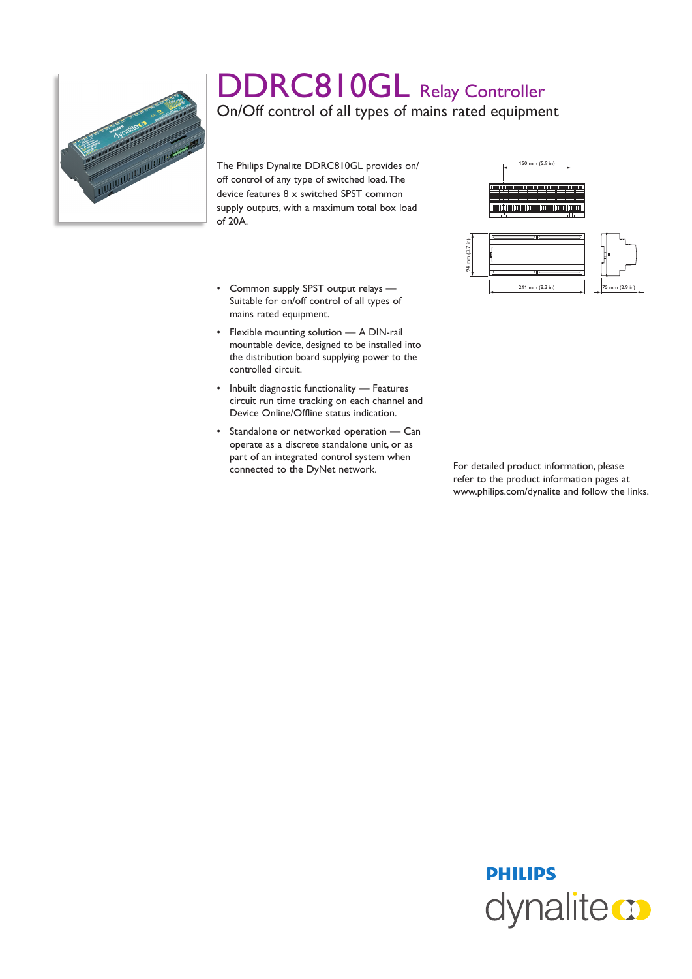

## DDRC810GL Relay Controller On/Off control of all types of mains rated equipment

The Philips Dynalite DDRC810GL provides on/ off control of any type of switched load. The device features 8 x switched SPST common supply outputs, with a maximum total box load of 20A.

- • Common supply SPST output relays Suitable for on/off control of all types of mains rated equipment.
- • Flexible mounting solution A DIN-rail mountable device, designed to be installed into the distribution board supplying power to the controlled circuit.
- • Inbuilt diagnostic functionality Features circuit run time tracking on each channel and Device Online/Offline status indication.
- • Standalone or networked operation Can operate as a discrete standalone unit, or as part of an integrated control system when connected to the DyNet network. For detailed product information, please





refer to the product information pages at www.philips.com/dynalite and follow the links.